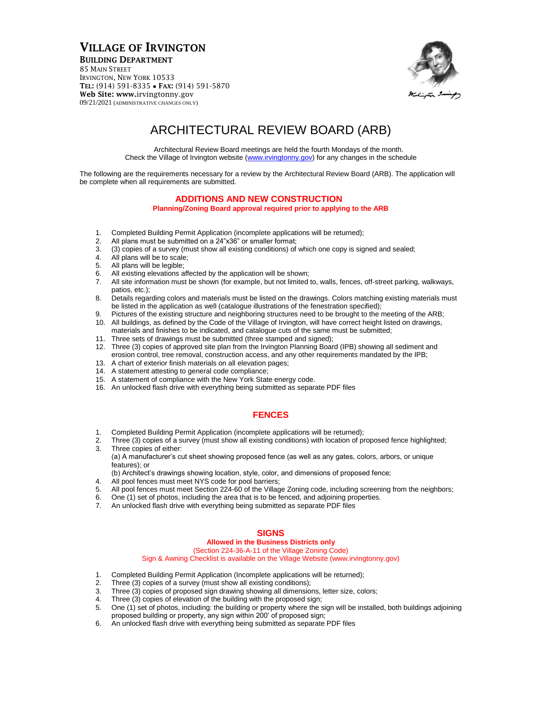## VILLAGE OF IRVINGTON

BUILDING DEPARTMENT

85 MAIN STREET IRVINGTON, NEW YORK 10533 TEL: (914) 591-8335 • FAX: (914) 591-5870 Web Site: www.irvingtonny.gov 09/21/2021 (ADMINISTRATIVE CHANGES ONLY)



# ARCHITECTURAL REVIEW BOARD (ARB)

Architectural Review Board meetings are held the fourth Mondays of the month. Check the Village of Irvington website [\(www.irvingtonny.gov\)](http://www.irvingtonny.gov/) for any changes in the schedule

The following are the requirements necessary for a review by the Architectural Review Board (ARB). The application will be complete when all requirements are submitted.

#### **ADDITIONS AND NEW CONSTRUCTION**

**Planning/Zoning Board approval required prior to applying to the ARB**

- 1. Completed Building Permit Application (incomplete applications will be returned);
- 2. All plans must be submitted on a 24"x36" or smaller format;
- 3. (3) copies of a survey (must show all existing conditions) of which one copy is signed and sealed;<br>4. All plans will be to scale:
- All plans will be to scale;
- 5. All plans will be legible;
- 6. All existing elevations affected by the application will be shown;
- 7. All site information must be shown (for example, but not limited to, walls, fences, off-street parking, walkways, patios, etc.);
- 8. Details regarding colors and materials must be listed on the drawings. Colors matching existing materials must be listed in the application as well (catalogue illustrations of the fenestration specified);
- 9. Pictures of the existing structure and neighboring structures need to be brought to the meeting of the ARB;
- 10. All buildings, as defined by the Code of the Village of Irvington, will have correct height listed on drawings, materials and finishes to be indicated, and catalogue cuts of the same must be submitted;
- 11. Three sets of drawings must be submitted (three stamped and signed);
- 12. Three (3) copies of approved site plan from the Irvington Planning Board (IPB) showing all sediment and erosion control, tree removal, construction access, and any other requirements mandated by the IPB;
- 13. A chart of exterior finish materials on all elevation pages;
- 14. A statement attesting to general code compliance;
- 15. A statement of compliance with the New York State energy code.
- 16. An unlocked flash drive with everything being submitted as separate PDF files

#### **FENCES**

- 
- 1. Completed Building Permit Application (incomplete applications will be returned);<br>2. Three (3) copies of a survey (must show all existing conditions) with location of pr 2. Three (3) copies of a survey (must show all existing conditions) with location of proposed fence highlighted; 3. Three copies of either:
- (a) A manufacturer's cut sheet showing proposed fence (as well as any gates, colors, arbors, or unique features); or

(b) Architect's drawings showing location, style, color, and dimensions of proposed fence;

- 4. All pool fences must meet NYS code for pool barriers;
- 5. All pool fences must meet Section 224-60 of the Village Zoning code, including screening from the neighbors;
- 6. One (1) set of photos, including the area that is to be fenced, and adjoining properties.
- 7. An unlocked flash drive with everything being submitted as separate PDF files

### **SIGNS**

#### **Allowed in the Business Districts only**

(Section 224-36-A-11 of the Village Zoning Code)

Sign & Awning Checklist is available on the Village Website (www.irvingtonny.gov)

- 1. Completed Building Permit Application (Incomplete applications will be returned);
- 2. Three (3) copies of a survey (must show all existing conditions);
- 3. Three (3) copies of proposed sign drawing showing all dimensions, letter size, colors;
- 4. Three (3) copies of elevation of the building with the proposed sign;
- 5. One (1) set of photos, including: the building or property where the sign will be installed, both buildings adjoining proposed building or property, any sign within 200' of proposed sign;
- 6. An unlocked flash drive with everything being submitted as separate PDF files